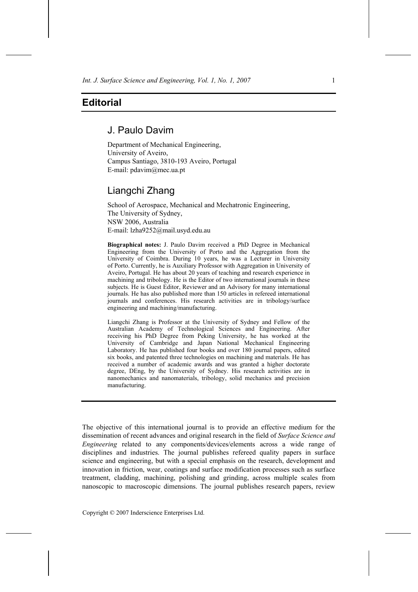## **Editorial**

## J. Paulo Davim

Department of Mechanical Engineering, University of Aveiro, Campus Santiago, 3810-193 Aveiro, Portugal E-mail: pdavim@mec.ua.pt

## Liangchi Zhang

School of Aerospace, Mechanical and Mechatronic Engineering, The University of Sydney, NSW 2006, Australia E-mail: lzha9252@mail.usyd.edu.au

**Biographical notes:** J. Paulo Davim received a PhD Degree in Mechanical Engineering from the University of Porto and the Aggregation from the University of Coimbra. During 10 years, he was a Lecturer in University of Porto. Currently, he is Auxiliary Professor with Aggregation in University of Aveiro, Portugal. He has about 20 years of teaching and research experience in machining and tribology. He is the Editor of two international journals in these subjects. He is Guest Editor, Reviewer and an Advisory for many international journals. He has also published more than 150 articles in refereed international journals and conferences. His research activities are in tribology/surface engineering and machining/manufacturing.

Liangchi Zhang is Professor at the University of Sydney and Fellow of the Australian Academy of Technological Sciences and Engineering. After receiving his PhD Degree from Peking University, he has worked at the University of Cambridge and Japan National Mechanical Engineering Laboratory. He has published four books and over 180 journal papers, edited six books, and patented three technologies on machining and materials. He has received a number of academic awards and was granted a higher doctorate degree, DEng, by the University of Sydney. His research activities are in nanomechanics and nanomaterials, tribology, solid mechanics and precision manufacturing.

The objective of this international journal is to provide an effective medium for the dissemination of recent advances and original research in the field of *Surface Science and Engineering* related to any components/devices/elements across a wide range of disciplines and industries. The journal publishes refereed quality papers in surface science and engineering, but with a special emphasis on the research, development and innovation in friction, wear, coatings and surface modification processes such as surface treatment, cladding, machining, polishing and grinding, across multiple scales from nanoscopic to macroscopic dimensions. The journal publishes research papers, review

Copyright © 2007 Inderscience Enterprises Ltd.